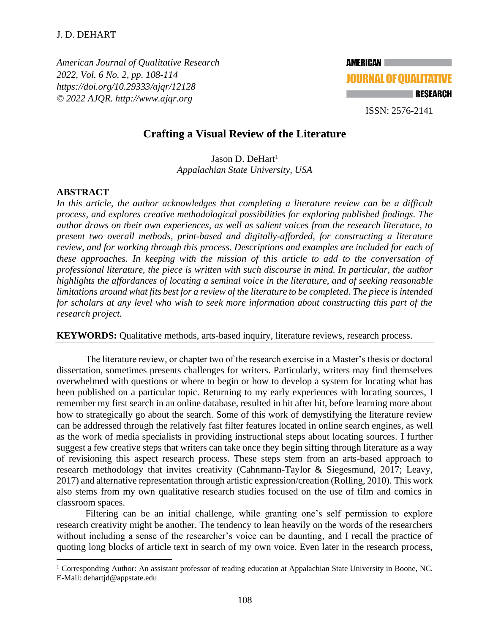*American Journal of Qualitative Research 2022, Vol. 6 No. 2, pp. 108-114 <https://doi.org/10.29333/ajqr/12128> © 2022 AJQR. http://www.ajqr.org*



ISSN: 2576-2141

# **Crafting a Visual Review of the Literature**

Jason D. DeHart<sup>1</sup> *Appalachian State University, USA*

### **ABSTRACT**

*In this article, the author acknowledges that completing a literature review can be a difficult process, and explores creative methodological possibilities for exploring published findings. The author draws on their own experiences, as well as salient voices from the research literature, to present two overall methods, print-based and digitally-afforded, for constructing a literature review, and for working through this process. Descriptions and examples are included for each of these approaches. In keeping with the mission of this article to add to the conversation of professional literature, the piece is written with such discourse in mind. In particular, the author highlights the affordances of locating a seminal voice in the literature, and of seeking reasonable limitations around what fits best for a review of the literature to be completed. The piece is intended for scholars at any level who wish to seek more information about constructing this part of the research project.*

**KEYWORDS:** Qualitative methods, arts-based inquiry, literature reviews, research process.

The literature review, or chapter two of the research exercise in a Master's thesis or doctoral dissertation, sometimes presents challenges for writers. Particularly, writers may find themselves overwhelmed with questions or where to begin or how to develop a system for locating what has been published on a particular topic. Returning to my early experiences with locating sources, I remember my first search in an online database, resulted in hit after hit, before learning more about how to strategically go about the search. Some of this work of demystifying the literature review can be addressed through the relatively fast filter features located in online search engines, as well as the work of media specialists in providing instructional steps about locating sources. I further suggest a few creative steps that writers can take once they begin sifting through literature as a way of revisioning this aspect research process. These steps stem from an arts-based approach to research methodology that invites creativity (Cahnmann-Taylor & Siegesmund, 2017; Leavy, 2017) and alternative representation through artistic expression/creation (Rolling, 2010). This work also stems from my own qualitative research studies focused on the use of film and comics in classroom spaces.

Filtering can be an initial challenge, while granting one's self permission to explore research creativity might be another. The tendency to lean heavily on the words of the researchers without including a sense of the researcher's voice can be daunting, and I recall the practice of quoting long blocks of article text in search of my own voice. Even later in the research process,

<sup>&</sup>lt;sup>1</sup> Corresponding Author: An assistant professor of reading education at Appalachian State University in Boone, NC. E-Mail: dehartjd@appstate.edu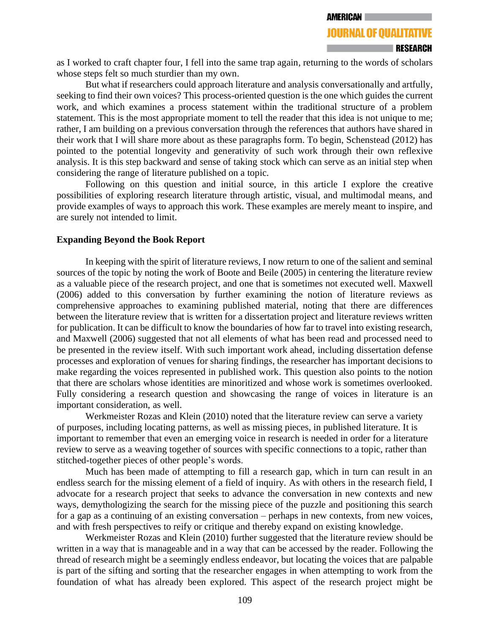# **JOURNAL OF OUALITATIVE**

as I worked to craft chapter four, I fell into the same trap again, returning to the words of scholars whose steps felt so much sturdier than my own.

But what if researchers could approach literature and analysis conversationally and artfully, seeking to find their own voices? This process-oriented question is the one which guides the current work, and which examines a process statement within the traditional structure of a problem statement. This is the most appropriate moment to tell the reader that this idea is not unique to me; rather, I am building on a previous conversation through the references that authors have shared in their work that I will share more about as these paragraphs form. To begin, Schenstead (2012) has pointed to the potential longevity and generativity of such work through their own reflexive analysis. It is this step backward and sense of taking stock which can serve as an initial step when considering the range of literature published on a topic.

Following on this question and initial source, in this article I explore the creative possibilities of exploring research literature through artistic, visual, and multimodal means, and provide examples of ways to approach this work. These examples are merely meant to inspire, and are surely not intended to limit.

### **Expanding Beyond the Book Report**

In keeping with the spirit of literature reviews, I now return to one of the salient and seminal sources of the topic by noting the work of Boote and Beile (2005) in centering the literature review as a valuable piece of the research project, and one that is sometimes not executed well. Maxwell (2006) added to this conversation by further examining the notion of literature reviews as comprehensive approaches to examining published material, noting that there are differences between the literature review that is written for a dissertation project and literature reviews written for publication. It can be difficult to know the boundaries of how far to travel into existing research, and Maxwell (2006) suggested that not all elements of what has been read and processed need to be presented in the review itself. With such important work ahead, including dissertation defense processes and exploration of venues for sharing findings, the researcher has important decisions to make regarding the voices represented in published work. This question also points to the notion that there are scholars whose identities are minoritized and whose work is sometimes overlooked. Fully considering a research question and showcasing the range of voices in literature is an important consideration, as well.

Werkmeister Rozas and Klein (2010) noted that the literature review can serve a variety of purposes, including locating patterns, as well as missing pieces, in published literature. It is important to remember that even an emerging voice in research is needed in order for a literature review to serve as a weaving together of sources with specific connections to a topic, rather than stitched-together pieces of other people's words.

Much has been made of attempting to fill a research gap, which in turn can result in an endless search for the missing element of a field of inquiry. As with others in the research field, I advocate for a research project that seeks to advance the conversation in new contexts and new ways, demythologizing the search for the missing piece of the puzzle and positioning this search for a gap as a continuing of an existing conversation – perhaps in new contexts, from new voices, and with fresh perspectives to reify or critique and thereby expand on existing knowledge.

Werkmeister Rozas and Klein (2010) further suggested that the literature review should be written in a way that is manageable and in a way that can be accessed by the reader. Following the thread of research might be a seemingly endless endeavor, but locating the voices that are palpable is part of the sifting and sorting that the researcher engages in when attempting to work from the foundation of what has already been explored. This aspect of the research project might be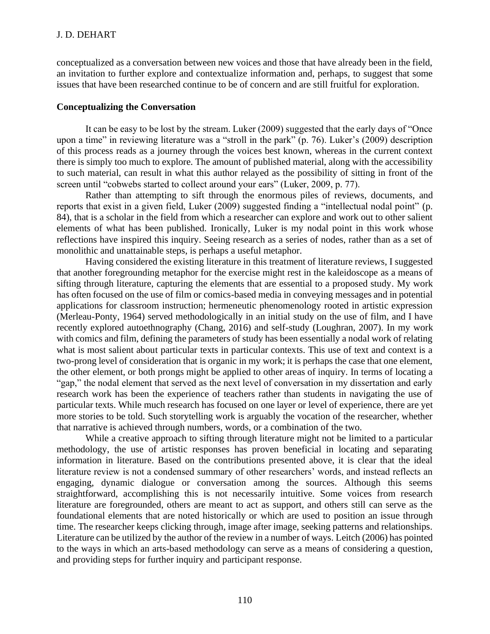conceptualized as a conversation between new voices and those that have already been in the field, an invitation to further explore and contextualize information and, perhaps, to suggest that some issues that have been researched continue to be of concern and are still fruitful for exploration.

# **Conceptualizing the Conversation**

It can be easy to be lost by the stream. Luker (2009) suggested that the early days of "Once upon a time" in reviewing literature was a "stroll in the park" (p. 76). Luker's (2009) description of this process reads as a journey through the voices best known, whereas in the current context there is simply too much to explore. The amount of published material, along with the accessibility to such material, can result in what this author relayed as the possibility of sitting in front of the screen until "cobwebs started to collect around your ears" (Luker, 2009, p. 77).

Rather than attempting to sift through the enormous piles of reviews, documents, and reports that exist in a given field, Luker (2009) suggested finding a "intellectual nodal point" (p. 84), that is a scholar in the field from which a researcher can explore and work out to other salient elements of what has been published. Ironically, Luker is my nodal point in this work whose reflections have inspired this inquiry. Seeing research as a series of nodes, rather than as a set of monolithic and unattainable steps, is perhaps a useful metaphor.

Having considered the existing literature in this treatment of literature reviews, I suggested that another foregrounding metaphor for the exercise might rest in the kaleidoscope as a means of sifting through literature, capturing the elements that are essential to a proposed study. My work has often focused on the use of film or comics-based media in conveying messages and in potential applications for classroom instruction; hermeneutic phenomenology rooted in artistic expression (Merleau-Ponty, 1964) served methodologically in an initial study on the use of film, and I have recently explored autoethnography (Chang, 2016) and self-study (Loughran, 2007). In my work with comics and film, defining the parameters of study has been essentially a nodal work of relating what is most salient about particular texts in particular contexts. This use of text and context is a two-prong level of consideration that is organic in my work; it is perhaps the case that one element, the other element, or both prongs might be applied to other areas of inquiry. In terms of locating a "gap," the nodal element that served as the next level of conversation in my dissertation and early research work has been the experience of teachers rather than students in navigating the use of particular texts. While much research has focused on one layer or level of experience, there are yet more stories to be told. Such storytelling work is arguably the vocation of the researcher, whether that narrative is achieved through numbers, words, or a combination of the two.

While a creative approach to sifting through literature might not be limited to a particular methodology, the use of artistic responses has proven beneficial in locating and separating information in literature. Based on the contributions presented above, it is clear that the ideal literature review is not a condensed summary of other researchers' words, and instead reflects an engaging, dynamic dialogue or conversation among the sources. Although this seems straightforward, accomplishing this is not necessarily intuitive. Some voices from research literature are foregrounded, others are meant to act as support, and others still can serve as the foundational elements that are noted historically or which are used to position an issue through time. The researcher keeps clicking through, image after image, seeking patterns and relationships. Literature can be utilized by the author of the review in a number of ways. Leitch (2006) has pointed to the ways in which an arts-based methodology can serve as a means of considering a question, and providing steps for further inquiry and participant response.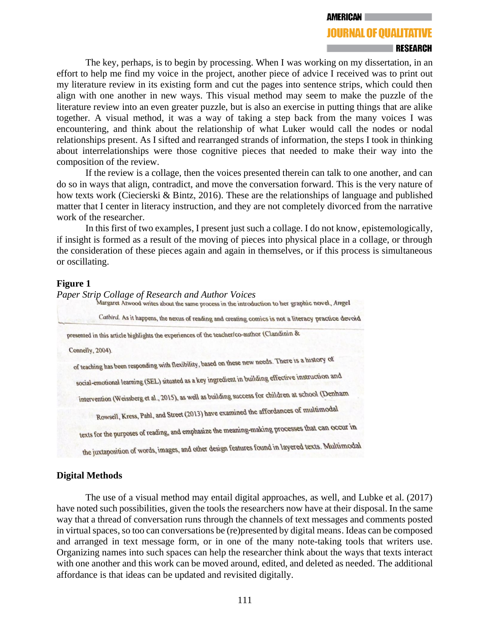#### **AMERICAN**

# **JOURNAL OF OUALITATIVE**

#### **RESEARCH**

The key, perhaps, is to begin by processing. When I was working on my dissertation, in an effort to help me find my voice in the project, another piece of advice I received was to print out my literature review in its existing form and cut the pages into sentence strips, which could then align with one another in new ways. This visual method may seem to make the puzzle of the literature review into an even greater puzzle, but is also an exercise in putting things that are alike together. A visual method, it was a way of taking a step back from the many voices I was encountering, and think about the relationship of what Luker would call the nodes or nodal relationships present. As I sifted and rearranged strands of information, the steps I took in thinking about interrelationships were those cognitive pieces that needed to make their way into the composition of the review.

If the review is a collage, then the voices presented therein can talk to one another, and can do so in ways that align, contradict, and move the conversation forward. This is the very nature of how texts work (Ciecierski & Bintz, 2016). These are the relationships of language and published matter that I center in literacy instruction, and they are not completely divorced from the narrative work of the researcher.

In this first of two examples, I present just such a collage. I do not know, epistemologically, if insight is formed as a result of the moving of pieces into physical place in a collage, or through the consideration of these pieces again and again in themselves, or if this process is simultaneous or oscillating.

### **Figure 1**

*Paper Strip Collage of Research and Author Voices* Catbird. As it happens, the nexus of reading and creating comics is not a literacy practice devoid presented in this article highlights the experiences of the teacher/co-author (Clandinin & Connelly, 2004). of teaching has been responding with flexibility, based on these new needs. There is a history of social-emotional learning (SEL) situated as a key ingredient in building effective instruction and intervention (Weissberg et al., 2015), as well as building success for children at school (Denham Rowsell, Kress, Pahl, and Street (2013) have examined the affordances of multimodal texts for the purposes of reading, and emphasize the meaning-making processes that can occur in the juxtaposition of words, images, and other design features found in layered texts. Multimodal

# **Digital Methods**

The use of a visual method may entail digital approaches, as well, and Lubke et al. (2017) have noted such possibilities, given the tools the researchers now have at their disposal. In the same way that a thread of conversation runs through the channels of text messages and comments posted in virtual spaces, so too can conversations be (re)presented by digital means. Ideas can be composed and arranged in text message form, or in one of the many note-taking tools that writers use. Organizing names into such spaces can help the researcher think about the ways that texts interact with one another and this work can be moved around, edited, and deleted as needed. The additional affordance is that ideas can be updated and revisited digitally.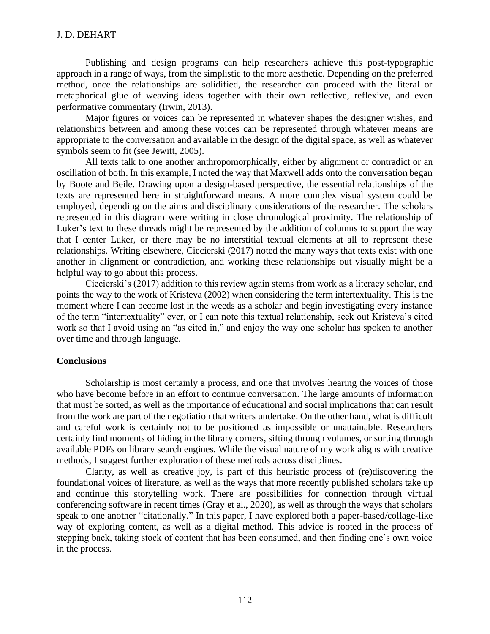# J. D. DEHART

Publishing and design programs can help researchers achieve this post-typographic approach in a range of ways, from the simplistic to the more aesthetic. Depending on the preferred method, once the relationships are solidified, the researcher can proceed with the literal or metaphorical glue of weaving ideas together with their own reflective, reflexive, and even performative commentary (Irwin, 2013).

Major figures or voices can be represented in whatever shapes the designer wishes, and relationships between and among these voices can be represented through whatever means are appropriate to the conversation and available in the design of the digital space, as well as whatever symbols seem to fit (see Jewitt, 2005).

All texts talk to one another anthropomorphically, either by alignment or contradict or an oscillation of both. In this example, I noted the way that Maxwell adds onto the conversation began by Boote and Beile. Drawing upon a design-based perspective, the essential relationships of the texts are represented here in straightforward means. A more complex visual system could be employed, depending on the aims and disciplinary considerations of the researcher. The scholars represented in this diagram were writing in close chronological proximity. The relationship of Luker's text to these threads might be represented by the addition of columns to support the way that I center Luker, or there may be no interstitial textual elements at all to represent these relationships. Writing elsewhere, Ciecierski (2017) noted the many ways that texts exist with one another in alignment or contradiction, and working these relationships out visually might be a helpful way to go about this process.

Ciecierski's (2017) addition to this review again stems from work as a literacy scholar, and points the way to the work of Kristeva (2002) when considering the term intertextuality. This is the moment where I can become lost in the weeds as a scholar and begin investigating every instance of the term "intertextuality" ever, or I can note this textual relationship, seek out Kristeva's cited work so that I avoid using an "as cited in," and enjoy the way one scholar has spoken to another over time and through language.

# **Conclusions**

Scholarship is most certainly a process, and one that involves hearing the voices of those who have become before in an effort to continue conversation. The large amounts of information that must be sorted, as well as the importance of educational and social implications that can result from the work are part of the negotiation that writers undertake. On the other hand, what is difficult and careful work is certainly not to be positioned as impossible or unattainable. Researchers certainly find moments of hiding in the library corners, sifting through volumes, or sorting through available PDFs on library search engines. While the visual nature of my work aligns with creative methods, I suggest further exploration of these methods across disciplines.

Clarity, as well as creative joy, is part of this heuristic process of (re)discovering the foundational voices of literature, as well as the ways that more recently published scholars take up and continue this storytelling work. There are possibilities for connection through virtual conferencing software in recent times (Gray et al., 2020), as well as through the ways that scholars speak to one another "citationally." In this paper, I have explored both a paper-based/collage-like way of exploring content, as well as a digital method. This advice is rooted in the process of stepping back, taking stock of content that has been consumed, and then finding one's own voice in the process.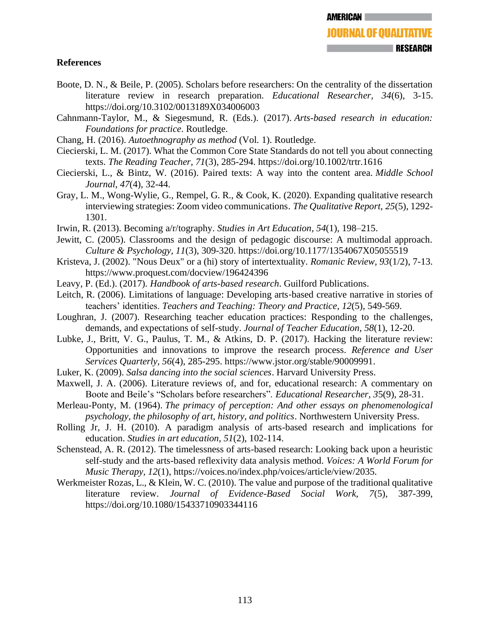# **References**

- Boote, D. N., & Beile, P. (2005). Scholars before researchers: On the centrality of the dissertation literature review in research preparation. *Educational Researcher, 34*(6), 3-15. [https://doi.org/10.3102/0013189X034006003](https://doi.org/10.3102%2F0013189X034006003)
- Cahnmann-Taylor, M., & Siegesmund, R. (Eds.). (2017). *Arts-based research in education: Foundations for practice*. Routledge.
- Chang, H. (2016). *Autoethnography as method* (Vol. 1). Routledge.
- Ciecierski, L. M. (2017). What the Common Core State Standards do not tell you about connecting texts. *The Reading Teacher, 71*(3), 285-294.<https://doi.org/10.1002/trtr.1616>
- Ciecierski, L., & Bintz, W. (2016). Paired texts: A way into the content area. *Middle School Journal*, *47*(4), 32-44.
- Gray, L. M., Wong-Wylie, G., Rempel, G. R., & Cook, K. (2020). Expanding qualitative research interviewing strategies: Zoom video communications. *The Qualitative Report*, *25*(5), 1292- 1301.
- Irwin, R. (2013). Becoming a/r/tography. *Studies in Art Education*, *54*(1), 198–215.
- Jewitt, C. (2005). Classrooms and the design of pedagogic discourse: A multimodal approach. *Culture & Psychology, 11*(3), 309-320. [https://doi.org/10.1177/1354067X05055519](https://doi.org/10.1177%2F1354067X05055519)
- Kristeva, J. (2002). "Nous Deux" or a (hi) story of intertextuality. *Romanic Review, 93*(1/2), 7-13. https://www.proquest.com/docview/196424396
- Leavy, P. (Ed.). (2017). *Handbook of arts-based research*. Guilford Publications.
- Leitch, R. (2006). Limitations of language: Developing arts-based creative narrative in stories of teachers' identities. *Teachers and Teaching: Theory and Practice*, *12*(5), 549-569.
- Loughran, J. (2007). Researching teacher education practices: Responding to the challenges, demands, and expectations of self-study. *Journal of Teacher Education*, *58*(1), 12-20.
- Lubke, J., Britt, V. G., Paulus, T. M., & Atkins, D. P. (2017). Hacking the literature review: Opportunities and innovations to improve the research process. *Reference and User Services Quarterly, 56*(4), 285-295. https://www.jstor.org/stable/90009991.
- Luker, K. (2009). *Salsa dancing into the social sciences*. Harvard University Press.
- Maxwell, J. A. (2006). Literature reviews of, and for, educational research: A commentary on Boote and Beile's "Scholars before researchers". *Educational Researcher, 3*5(9), 28-31.
- Merleau-Ponty, M. (1964). *The primacy of perception: And other essays on phenomenological psychology, the philosophy of art, history, and politics*. Northwestern University Press.
- Rolling Jr, J. H. (2010). A paradigm analysis of arts-based research and implications for education. *Studies in art education*, *51*(2), 102-114.
- Schenstead, A. R. (2012). The timelessness of arts-based research: Looking back upon a heuristic self-study and the arts-based reflexivity data analysis method. *Voices: A World Forum for Music Therapy, 12*(1), https://voices.no/index.php/voices/article/view/2035.
- Werkmeister Rozas, L., & Klein, W. C. (2010). The value and purpose of the traditional qualitative literature review. *Journal of Evidence-Based Social Work, 7*(5), 387-399, <https://doi.org/10.1080/15433710903344116>